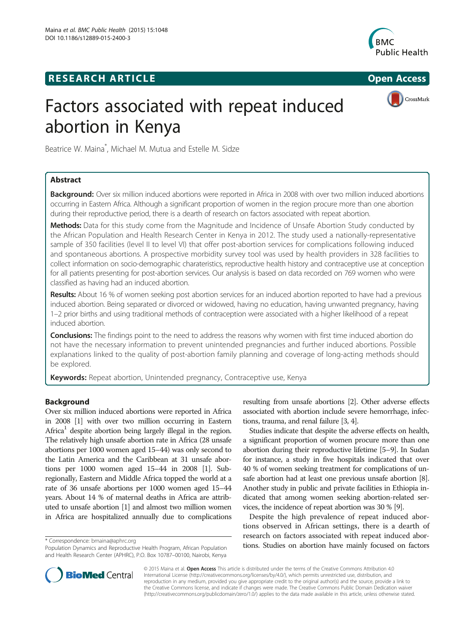# **RESEARCH ARTICLE Example 2014 CONSIDERING CONSIDERING CONSIDERING CONSIDERING CONSIDERING CONSIDERING CONSIDERING CONSIDERING CONSIDERING CONSIDERING CONSIDERING CONSIDERING CONSIDERING CONSIDERING CONSIDERING CONSIDE**





# Factors associated with repeat induced abortion in Kenya

Beatrice W. Maina\* , Michael M. Mutua and Estelle M. Sidze

# Abstract

Background: Over six million induced abortions were reported in Africa in 2008 with over two million induced abortions occurring in Eastern Africa. Although a significant proportion of women in the region procure more than one abortion during their reproductive period, there is a dearth of research on factors associated with repeat abortion.

Methods: Data for this study come from the Magnitude and Incidence of Unsafe Abortion Study conducted by the African Population and Health Research Center in Kenya in 2012. The study used a nationally-representative sample of 350 facilities (level II to level VI) that offer post-abortion services for complications following induced and spontaneous abortions. A prospective morbidity survey tool was used by health providers in 328 facilities to collect information on socio-demographic charateristics, reproductive health history and contraceptive use at conception for all patients presenting for post-abortion services. Our analysis is based on data recorded on 769 women who were classified as having had an induced abortion.

Results: About 16 % of women seeking post abortion services for an induced abortion reported to have had a previous induced abortion. Being separated or divorced or widowed, having no education, having unwanted pregnancy, having 1–2 prior births and using traditional methods of contraception were associated with a higher likelihood of a repeat induced abortion.

Conclusions: The findings point to the need to address the reasons why women with first time induced abortion do not have the necessary information to prevent unintended pregnancies and further induced abortions. Possible explanations linked to the quality of post-abortion family planning and coverage of long-acting methods should be explored.

Keywords: Repeat abortion, Unintended pregnancy, Contraceptive use, Kenya

# Background

Over six million induced abortions were reported in Africa in 2008 [\[1](#page-7-0)] with over two million occurring in Eastern Africa<sup>1</sup> despite abortion being largely illegal in the region. The relatively high unsafe abortion rate in Africa (28 unsafe abortions per 1000 women aged 15–44) was only second to the Latin America and the Caribbean at 31 unsafe abortions per 1000 women aged 15–44 in 2008 [\[1](#page-7-0)]. Subregionally, Eastern and Middle Africa topped the world at a rate of 36 unsafe abortions per 1000 women aged 15–44 years. About 14 % of maternal deaths in Africa are attributed to unsafe abortion [\[1](#page-7-0)] and almost two million women in Africa are hospitalized annually due to complications

Population Dynamics and Reproductive Health Program, African Population and Health Research Center (APHRC), P.O. Box 10787–00100, Nairobi, Kenya

resulting from unsafe abortions [\[2\]](#page-7-0). Other adverse effects associated with abortion include severe hemorrhage, infections, trauma, and renal failure [[3](#page-7-0), [4\]](#page-7-0).

Studies indicate that despite the adverse effects on health, a significant proportion of women procure more than one abortion during their reproductive lifetime [\[5](#page-7-0)–[9](#page-7-0)]. In Sudan for instance, a study in five hospitals indicated that over 40 % of women seeking treatment for complications of unsafe abortion had at least one previous unsafe abortion [[8](#page-7-0)]. Another study in public and private facilities in Ethiopia indicated that among women seeking abortion-related services, the incidence of repeat abortion was 30 % [\[9\]](#page-7-0).

Despite the high prevalence of repeat induced abortions observed in African settings, there is a dearth of research on factors associated with repeat induced abortions. Studies on abortion have mainly focused on factors \* Correspondence: [bmaina@aphrc.org](mailto:bmaina@aphrc.org)



© 2015 Maina et al. Open Access This article is distributed under the terms of the Creative Commons Attribution 4.0 International License [\(http://creativecommons.org/licenses/by/4.0/](http://creativecommons.org/licenses/by/4.0/)), which permits unrestricted use, distribution, and reproduction in any medium, provided you give appropriate credit to the original author(s) and the source, provide a link to the Creative Commons license, and indicate if changes were made. The Creative Commons Public Domain Dedication waiver [\(http://creativecommons.org/publicdomain/zero/1.0/](http://creativecommons.org/publicdomain/zero/1.0/)) applies to the data made available in this article, unless otherwise stated.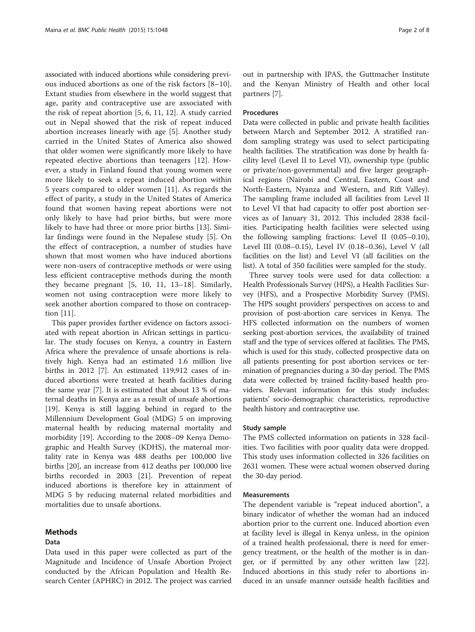associated with induced abortions while considering previous induced abortions as one of the risk factors [[8](#page-7-0)–[10](#page-7-0)]. Extant studies from elsewhere in the world suggest that age, parity and contraceptive use are associated with the risk of repeat abortion [\[5](#page-7-0), [6, 11, 12\]](#page-7-0). A study carried out in Nepal showed that the risk of repeat induced abortion increases linearly with age [\[5](#page-7-0)]. Another study carried in the United States of America also showed that older women were significantly more likely to have repeated elective abortions than teenagers [[12](#page-7-0)]. However, a study in Finland found that young women were more likely to seek a repeat induced abortion within 5 years compared to older women [[11\]](#page-7-0). As regards the effect of parity, a study in the United States of America found that women having repeat abortions were not only likely to have had prior births, but were more likely to have had three or more prior births [[13\]](#page-7-0). Similar findings were found in the Nepalese study [[5\]](#page-7-0). On the effect of contraception, a number of studies have shown that most women who have induced abortions were non-users of contraceptive methods or were using less efficient contraceptive methods during the month they became pregnant [\[5](#page-7-0), [10, 11, 13](#page-7-0)–[18](#page-7-0)]. Similarly, women not using contraception were more likely to seek another abortion compared to those on contraception [[11\]](#page-7-0).

This paper provides further evidence on factors associated with repeat abortion in African settings in particular. The study focuses on Kenya, a country in Eastern Africa where the prevalence of unsafe abortions is relatively high. Kenya had an estimated 1.6 million live births in 2012 [\[7](#page-7-0)]. An estimated 119,912 cases of induced abortions were treated at heath facilities during the same year [[7\]](#page-7-0). It is estimated that about 13 % of maternal deaths in Kenya are as a result of unsafe abortions [[19\]](#page-7-0). Kenya is still lagging behind in regard to the Millennium Development Goal (MDG) 5 on improving maternal health by reducing maternal mortality and morbidity [\[19\]](#page-7-0). According to the 2008–09 Kenya Demographic and Health Survey (KDHS), the maternal mortality rate in Kenya was 488 deaths per 100,000 live births [[20\]](#page-7-0), an increase from 412 deaths per 100,000 live births recorded in 2003 [\[21](#page-7-0)]. Prevention of repeat induced abortions is therefore key in attainment of MDG 5 by reducing maternal related morbidities and mortalities due to unsafe abortions.

# Methods

# Data

Data used in this paper were collected as part of the Magnitude and Incidence of Unsafe Abortion Project conducted by the African Population and Health Research Center (APHRC) in 2012. The project was carried

out in partnership with IPAS, the Guttmacher Institute and the Kenyan Ministry of Health and other local partners [[7\]](#page-7-0).

#### Procedures

Data were collected in public and private health facilities between March and September 2012. A stratified random sampling strategy was used to select participating health facilities. The stratification was done by health facility level (Level II to Level VI), ownership type (public or private/non-governmental) and five larger geographical regions (Nairobi and Central, Eastern, Coast and North-Eastern, Nyanza and Western, and Rift Valley). The sampling frame included all facilities from Level II to Level VI that had capacity to offer post abortion services as of January 31, 2012. This included 2838 facilities. Participating health facilities were selected using the following sampling fractions: Level II (0.05–0.10), Level III (0.08–0.15), Level IV (0.18–0.36), Level V (all facilities on the list) and Level VI (all facilities on the list). A total of 350 facilities were sampled for the study.

Three survey tools were used for data collection: a Health Professionals Survey (HPS), a Health Facilities Survey (HFS), and a Prospective Morbidity Survey (PMS). The HPS sought providers' perspectives on access to and provision of post-abortion care services in Kenya. The HFS collected information on the numbers of women seeking post-abortion services, the availability of trained staff and the type of services offered at facilities. The PMS, which is used for this study, collected prospective data on all patients presenting for post abortion services or termination of pregnancies during a 30-day period. The PMS data were collected by trained facility-based health providers. Relevant information for this study includes: patients' socio-demographic characteristics, reproductive health history and contraceptive use.

#### Study sample

The PMS collected information on patients in 328 facilities. Two facilities with poor quality data were dropped. This study uses information collected in 326 facilities on 2631 women. These were actual women observed during the 30-day period.

#### Measurements

The dependent variable is "repeat induced abortion", a binary indicator of whether the woman had an induced abortion prior to the current one. Induced abortion even at facility level is illegal in Kenya unless, in the opinion of a trained health professional, there is need for emergency treatment, or the health of the mother is in danger, or if permitted by any other written law [\[22](#page-7-0)]. Induced abortions in this study refer to abortions induced in an unsafe manner outside health facilities and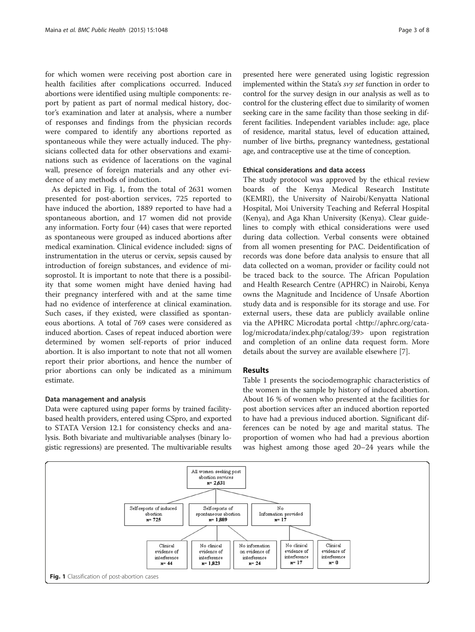for which women were receiving post abortion care in health facilities after complications occurred. Induced abortions were identified using multiple components: report by patient as part of normal medical history, doctor's examination and later at analysis, where a number of responses and findings from the physician records were compared to identify any abortions reported as spontaneous while they were actually induced. The physicians collected data for other observations and examinations such as evidence of lacerations on the vaginal wall, presence of foreign materials and any other evidence of any methods of induction.

As depicted in Fig. 1, from the total of 2631 women presented for post-abortion services, 725 reported to have induced the abortion, 1889 reported to have had a spontaneous abortion, and 17 women did not provide any information. Forty four (44) cases that were reported as spontaneous were grouped as induced abortions after medical examination. Clinical evidence included: signs of instrumentation in the uterus or cervix, sepsis caused by introduction of foreign substances, and evidence of misoprostol. It is important to note that there is a possibility that some women might have denied having had their pregnancy interfered with and at the same time had no evidence of interference at clinical examination. Such cases, if they existed, were classified as spontaneous abortions. A total of 769 cases were considered as induced abortion. Cases of repeat induced abortion were determined by women self-reports of prior induced abortion. It is also important to note that not all women report their prior abortions, and hence the number of prior abortions can only be indicated as a minimum estimate.

#### Data management and analysis

Data were captured using paper forms by trained facilitybased health providers, entered using CSpro, and exported to STATA Version 12.1 for consistency checks and analysis. Both bivariate and multivariable analyses (binary logistic regressions) are presented. The multivariable results presented here were generated using logistic regression implemented within the Stata's svy set function in order to control for the survey design in our analysis as well as to control for the clustering effect due to similarity of women seeking care in the same facility than those seeking in different facilities. Independent variables include: age, place of residence, marital status, level of education attained, number of live births, pregnancy wantedness, gestational age, and contraceptive use at the time of conception.

#### Ethical considerations and data access

The study protocol was approved by the ethical review boards of the Kenya Medical Research Institute (KEMRI), the University of Nairobi/Kenyatta National Hospital, Moi University Teaching and Referral Hospital (Kenya), and Aga Khan University (Kenya). Clear guidelines to comply with ethical considerations were used during data collection. Verbal consents were obtained from all women presenting for PAC. Deidentification of records was done before data analysis to ensure that all data collected on a woman, provider or facility could not be traced back to the source. The African Population and Health Research Centre (APHRC) in Nairobi, Kenya owns the Magnitude and Incidence of Unsafe Abortion study data and is responsible for its storage and use. For external users, these data are publicly available online via the APHRC Microdata portal [<http://aphrc.org/cata](http://aphrc.org/catalog/microdata/index.php/catalog/39)[log/microdata/index.php/catalog/39](http://aphrc.org/catalog/microdata/index.php/catalog/39)> upon registration and completion of an online data request form. More details about the survey are available elsewhere [[7\]](#page-7-0).

#### Results

Table [1](#page-3-0) presents the sociodemographic characteristics of the women in the sample by history of induced abortion. About 16 % of women who presented at the facilities for post abortion services after an induced abortion reported to have had a previous induced abortion. Significant differences can be noted by age and marital status. The proportion of women who had had a previous abortion was highest among those aged 20–24 years while the

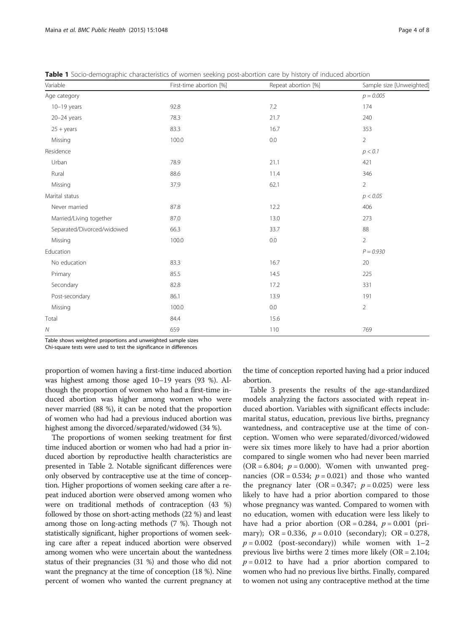| Variable                   | First-time abortion [%] | Repeat abortion [%] | Sample size [Unweighted] |
|----------------------------|-------------------------|---------------------|--------------------------|
| Age category               |                         |                     | $p = 0.005$              |
| $10-19$ years              | 92.8                    | 7.2                 | 174                      |
| $20 - 24$ years            | 78.3                    | 21.7                | 240                      |
| $25 + \gamma$ ears         | 83.3                    | 16.7                | 353                      |
| Missing                    | 100.0                   | 0.0                 | $\overline{2}$           |
| Residence                  |                         |                     | p < 0.1                  |
| Urban                      | 78.9                    | 21.1                | 421                      |
| Rural                      | 88.6                    | 11.4                | 346                      |
| Missing                    | 37.9                    | 62.1                | $\overline{2}$           |
| Marital status             |                         |                     | p < 0.05                 |
| Never married              | 87.8                    | 12.2                | 406                      |
| Married/Living together    | 87.0                    | 13.0                | 273                      |
| Separated/Divorced/widowed | 66.3                    | 33.7                | 88                       |
| Missing                    | 100.0                   | 0.0                 | $\overline{2}$           |
| Education                  |                         |                     | $P = 0.930$              |
| No education               | 83.3                    | 16.7                | 20                       |
| Primary                    | 85.5                    | 14.5                | 225                      |
| Secondary                  | 82.8                    | 17.2                | 331                      |
| Post-secondary             | 86.1                    | 13.9                | 191                      |
| Missing                    | 100.0                   | 0.0                 | $\overline{2}$           |
| Total                      | 84.4                    | 15.6                |                          |
| ${\cal N}$                 | 659                     | 110                 | 769                      |

<span id="page-3-0"></span>Table 1 Socio-demographic characteristics of women seeking post-abortion care by history of induced abortion

Table shows weighted proportions and unweighted sample sizes

Chi-square tests were used to test the significance in differences

proportion of women having a first-time induced abortion was highest among those aged 10–19 years (93 %). Although the proportion of women who had a first-time induced abortion was higher among women who were never married (88 %), it can be noted that the proportion of women who had had a previous induced abortion was highest among the divorced/separated/widowed (34 %).

The proportions of women seeking treatment for first time induced abortion or women who had had a prior induced abortion by reproductive health characteristics are presented in Table [2](#page-4-0). Notable significant differences were only observed by contraceptive use at the time of conception. Higher proportions of women seeking care after a repeat induced abortion were observed among women who were on traditional methods of contraception (43 %) followed by those on short-acting methods (22 %) and least among those on long-acting methods (7 %). Though not statistically significant, higher proportions of women seeking care after a repeat induced abortion were observed among women who were uncertain about the wantedness status of their pregnancies (31 %) and those who did not want the pregnancy at the time of conception (18 %). Nine percent of women who wanted the current pregnancy at

the time of conception reported having had a prior induced abortion.

Table [3](#page-5-0) presents the results of the age-standardized models analyzing the factors associated with repeat induced abortion. Variables with significant effects include: marital status, education, previous live births, pregnancy wantedness, and contraceptive use at the time of conception. Women who were separated/divorced/widowed were six times more likely to have had a prior abortion compared to single women who had never been married (OR = 6.804;  $p = 0.000$ ). Women with unwanted pregnancies (OR =  $0.534$ ;  $p = 0.021$ ) and those who wanted the pregnancy later (OR = 0.347;  $p = 0.025$ ) were less likely to have had a prior abortion compared to those whose pregnancy was wanted. Compared to women with no education, women with education were less likely to have had a prior abortion (OR = 0.284,  $p = 0.001$  (primary); OR = 0.336,  $p = 0.010$  (secondary); OR = 0.278,  $p = 0.002$  (post-secondary)) while women with  $1-2$ previous live births were 2 times more likely (OR = 2.104;  $p = 0.012$  to have had a prior abortion compared to women who had no previous live births. Finally, compared to women not using any contraceptive method at the time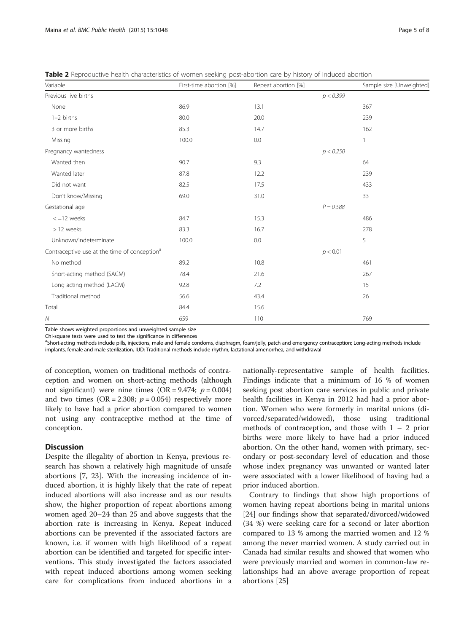| Variable                                                 | First-time abortion [%] | Repeat abortion [%] |             | Sample size [Unweighted] |
|----------------------------------------------------------|-------------------------|---------------------|-------------|--------------------------|
| Previous live births                                     |                         |                     |             |                          |
| None                                                     | 86.9                    | 13.1                |             | 367                      |
| $1-2$ births                                             | 80.0                    | 20.0                |             | 239                      |
| 3 or more births                                         | 85.3                    | 14.7                |             | 162                      |
| Missing                                                  | 100.0                   | 0.0                 |             | 1                        |
| Pregnancy wantedness                                     |                         |                     | p < 0.250   |                          |
| Wanted then                                              | 90.7                    | 9.3                 |             | 64                       |
| Wanted later                                             | 87.8                    | 12.2                |             | 239                      |
| Did not want                                             | 82.5                    | 17.5                |             | 433                      |
| Don't know/Missing                                       | 69.0                    | 31.0                |             | 33                       |
| Gestational age                                          |                         |                     | $P = 0.588$ |                          |
| $\epsilon$ =12 weeks                                     | 84.7                    | 15.3                |             | 486                      |
| > 12 weeks                                               | 83.3                    | 16.7                |             | 278                      |
| Unknown/indeterminate                                    | 100.0                   | 0.0                 |             | 5                        |
| Contraceptive use at the time of conception <sup>a</sup> |                         |                     | p < 0.01    |                          |
| No method                                                | 89.2                    | 10.8                |             | 461                      |
| Short-acting method (SACM)                               | 78.4                    | 21.6                |             | 267                      |
| Long acting method (LACM)                                | 92.8                    | 7.2                 |             | 15                       |
| Traditional method                                       | 56.6                    | 43.4                |             | 26                       |
| Total                                                    | 84.4                    | 15.6                |             |                          |
| ${\cal N}$                                               | 659                     | 110                 |             | 769                      |

<span id="page-4-0"></span>Table 2 Reproductive health characteristics of women seeking post-abortion care by history of induced abortion

Table shows weighted proportions and unweighted sample size

Chi-square tests were used to test the significance in differences

a<br>Short-acting methods include pills, injections, male and female condoms, diaphragm, foam/jelly, patch and emergency contraception; Long-acting methods include implants, female and male sterilization, IUD; Traditional methods include rhythm, lactational amenorrhea, and withdrawal

of conception, women on traditional methods of contraception and women on short-acting methods (although not significant) were nine times  $(OR = 9.474; p = 0.004)$ and two times  $(OR = 2.308; p = 0.054)$  respectively more likely to have had a prior abortion compared to women not using any contraceptive method at the time of conception.

# **Discussion**

Despite the illegality of abortion in Kenya, previous research has shown a relatively high magnitude of unsafe abortions [[7, 23](#page-7-0)]. With the increasing incidence of induced abortion, it is highly likely that the rate of repeat induced abortions will also increase and as our results show, the higher proportion of repeat abortions among women aged 20–24 than 25 and above suggests that the abortion rate is increasing in Kenya. Repeat induced abortions can be prevented if the associated factors are known, i.e. if women with high likelihood of a repeat abortion can be identified and targeted for specific interventions. This study investigated the factors associated with repeat induced abortions among women seeking care for complications from induced abortions in a

nationally-representative sample of health facilities. Findings indicate that a minimum of 16 % of women seeking post abortion care services in public and private health facilities in Kenya in 2012 had had a prior abortion. Women who were formerly in marital unions (divorced/separated/widowed), those using traditional methods of contraception, and those with  $1 - 2$  prior births were more likely to have had a prior induced abortion. On the other hand, women with primary, secondary or post-secondary level of education and those whose index pregnancy was unwanted or wanted later were associated with a lower likelihood of having had a prior induced abortion.

Contrary to findings that show high proportions of women having repeat abortions being in marital unions [[24\]](#page-7-0) our findings show that separated/divorced/widowed (34 %) were seeking care for a second or later abortion compared to 13 % among the married women and 12 % among the never married women. A study carried out in Canada had similar results and showed that women who were previously married and women in common-law relationships had an above average proportion of repeat abortions [\[25\]](#page-7-0)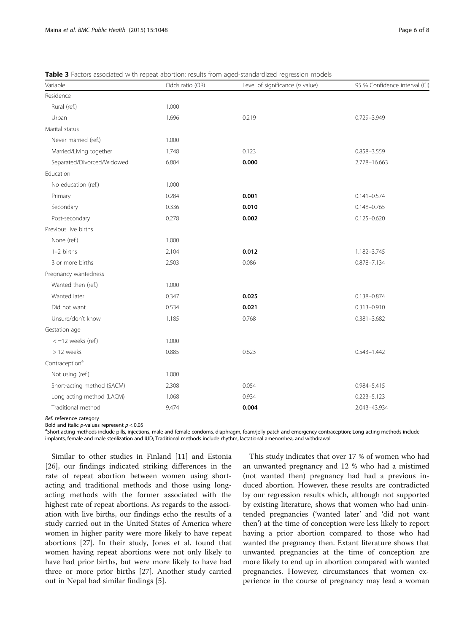| Variable                    | Odds ratio (OR) | Level of significance (p value) | 95 % Confidence interval (CI) |
|-----------------------------|-----------------|---------------------------------|-------------------------------|
| Residence                   |                 |                                 |                               |
| Rural (ref.)                | 1.000           |                                 |                               |
| Urban                       | 1.696           | 0.219                           | 0.729-3.949                   |
| Marital status              |                 |                                 |                               |
| Never married (ref.)        | 1.000           |                                 |                               |
| Married/Living together     | 1.748           | 0.123                           | 0.858-3.559                   |
| Separated/Divorced/Widowed  | 6.804           | 0.000                           | 2.778-16.663                  |
| Education                   |                 |                                 |                               |
| No education (ref.)         | 1.000           |                                 |                               |
| Primary                     | 0.284           | 0.001                           | $0.141 - 0.574$               |
| Secondary                   | 0.336           | 0.010                           | $0.148 - 0.765$               |
| Post-secondary              | 0.278           | 0.002                           | $0.125 - 0.620$               |
| Previous live births        |                 |                                 |                               |
| None (ref.)                 | 1.000           |                                 |                               |
| $1-2$ births                | 2.104           | 0.012                           | 1.182-3.745                   |
| 3 or more births            | 2.503           | 0.086                           | 0.878-7.134                   |
| Pregnancy wantedness        |                 |                                 |                               |
| Wanted then (ref.)          | 1.000           |                                 |                               |
| Wanted later                | 0.347           | 0.025                           | $0.138 - 0.874$               |
| Did not want                | 0.534           | 0.021                           | $0.313 - 0.910$               |
| Unsure/don't know           | 1.185           | 0.768                           | $0.381 - 3.682$               |
| Gestation age               |                 |                                 |                               |
| $\epsilon$ =12 weeks (ref.) | 1.000           |                                 |                               |
| > 12 weeks                  | 0.885           | 0.623                           | $0.543 - 1.442$               |
| Contraception <sup>a</sup>  |                 |                                 |                               |
| Not using (ref.)            | 1.000           |                                 |                               |
| Short-acting method (SACM)  | 2.308           | 0.054                           | 0.984-5.415                   |
| Long acting method (LACM)   | 1.068           | 0.934                           | $0.223 - 5.123$               |
| Traditional method          | 9.474           | 0.004                           | 2.043-43.934                  |

<span id="page-5-0"></span>Table 3 Factors associated with repeat abortion; results from aged-standardized regression models

Ref. reference category

Bold and italic  $p$ -values represent  $p < 0.05$ 

<sup>a</sup>Short-acting methods include pills, injections, male and female condoms, diaphragm, foam/jelly patch and emergency contraception; Long-acting methods include implants, female and male sterilization and IUD; Traditional methods include rhythm, lactational amenorrhea, and withdrawal

Similar to other studies in Finland [[11\]](#page-7-0) and Estonia [[26\]](#page-7-0), our findings indicated striking differences in the rate of repeat abortion between women using shortacting and traditional methods and those using longacting methods with the former associated with the highest rate of repeat abortions. As regards to the association with live births, our findings echo the results of a study carried out in the United States of America where women in higher parity were more likely to have repeat abortions [\[27](#page-7-0)]. In their study, Jones et al. found that women having repeat abortions were not only likely to have had prior births, but were more likely to have had three or more prior births [[27](#page-7-0)]. Another study carried out in Nepal had similar findings [\[5](#page-7-0)].

This study indicates that over 17 % of women who had an unwanted pregnancy and 12 % who had a mistimed (not wanted then) pregnancy had had a previous induced abortion. However, these results are contradicted by our regression results which, although not supported by existing literature, shows that women who had unintended pregnancies ('wanted later' and 'did not want then') at the time of conception were less likely to report having a prior abortion compared to those who had wanted the pregnancy then. Extant literature shows that unwanted pregnancies at the time of conception are more likely to end up in abortion compared with wanted pregnancies. However, circumstances that women experience in the course of pregnancy may lead a woman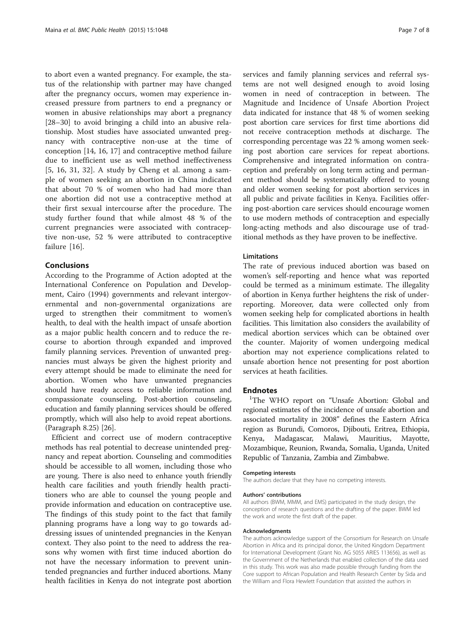to abort even a wanted pregnancy. For example, the status of the relationship with partner may have changed after the pregnancy occurs, women may experience increased pressure from partners to end a pregnancy or women in abusive relationships may abort a pregnancy [[28](#page-7-0)–[30](#page-7-0)] to avoid bringing a child into an abusive relationship. Most studies have associated unwanted pregnancy with contraceptive non-use at the time of conception [\[14, 16, 17](#page-7-0)] and contraceptive method failure due to inefficient use as well method ineffectiveness [[5, 16](#page-7-0), [31](#page-7-0), [32](#page-7-0)]. A study by Cheng et al. among a sample of women seeking an abortion in China indicated that about 70 % of women who had had more than one abortion did not use a contraceptive method at their first sexual intercourse after the procedure. The study further found that while almost 48 % of the current pregnancies were associated with contraceptive non-use, 52 % were attributed to contraceptive failure [\[16](#page-7-0)].

### **Conclusions**

According to the Programme of Action adopted at the International Conference on Population and Development, Cairo (1994) governments and relevant intergovernmental and non-governmental organizations are urged to strengthen their commitment to women's health, to deal with the health impact of unsafe abortion as a major public health concern and to reduce the recourse to abortion through expanded and improved family planning services. Prevention of unwanted pregnancies must always be given the highest priority and every attempt should be made to eliminate the need for abortion. Women who have unwanted pregnancies should have ready access to reliable information and compassionate counseling. Post-abortion counseling, education and family planning services should be offered promptly, which will also help to avoid repeat abortions. (Paragraph 8.25) [\[26](#page-7-0)].

Efficient and correct use of modern contraceptive methods has real potential to decrease unintended pregnancy and repeat abortion. Counseling and commodities should be accessible to all women, including those who are young. There is also need to enhance youth friendly health care facilities and youth friendly health practitioners who are able to counsel the young people and provide information and education on contraceptive use. The findings of this study point to the fact that family planning programs have a long way to go towards addressing issues of unintended pregnancies in the Kenyan context. They also point to the need to address the reasons why women with first time induced abortion do not have the necessary information to prevent unintended pregnancies and further induced abortions. Many health facilities in Kenya do not integrate post abortion

services and family planning services and referral systems are not well designed enough to avoid losing women in need of contraception in between. The Magnitude and Incidence of Unsafe Abortion Project data indicated for instance that 48 % of women seeking post abortion care services for first time abortions did not receive contraception methods at discharge. The corresponding percentage was 22 % among women seeking post abortion care services for repeat abortions. Comprehensive and integrated information on contraception and preferably on long term acting and permanent method should be systematically offered to young and older women seeking for post abortion services in all public and private facilities in Kenya. Facilities offering post-abortion care services should encourage women to use modern methods of contraception and especially long-acting methods and also discourage use of traditional methods as they have proven to be ineffective.

#### Limitations

The rate of previous induced abortion was based on women's self-reporting and hence what was reported could be termed as a minimum estimate. The illegality of abortion in Kenya further heightens the risk of underreporting. Moreover, data were collected only from women seeking help for complicated abortions in health facilities. This limitation also considers the availability of medical abortion services which can be obtained over the counter. Majority of women undergoing medical abortion may not experience complications related to unsafe abortion hence not presenting for post abortion services at heath facilities.

# **Endnotes**

<sup>1</sup>The WHO report on "Unsafe Abortion: Global and regional estimates of the incidence of unsafe abortion and associated mortality in 2008" defines the Eastern Africa region as Burundi, Comoros, Djibouti, Eritrea, Ethiopia, Kenya, Madagascar, Malawi, Mauritius, Mayotte, Mozambique, Reunion, Rwanda, Somalia, Uganda, United Republic of Tanzania, Zambia and Zimbabwe.

#### Competing interests

The authors declare that they have no competing interests.

#### Authors' contributions

All authors (BWM, MMM, and EMS) participated in the study design, the conception of research questions and the drafting of the paper. BWM led the work and wrote the first draft of the paper.

#### Acknowledgments

The authors acknowledge support of the Consortium for Research on Unsafe Abortion in Africa and its principal donor, the United Kingdom Department for International Development (Grant No. AG 5055 ARIES 113656), as well as the Government of the Netherlands that enabled collection of the data used in this study. This work was also made possible through funding from the Core support to African Population and Health Research Center by Sida and the William and Flora Hewlett Foundation that assisted the authors in